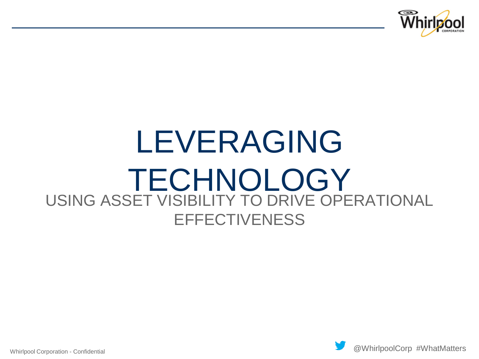

# USING ASSET VISIBILITY TO DRIVE OPERATIONAL **EFFECTIVENESS** LEVERAGING TECHNOLOGY

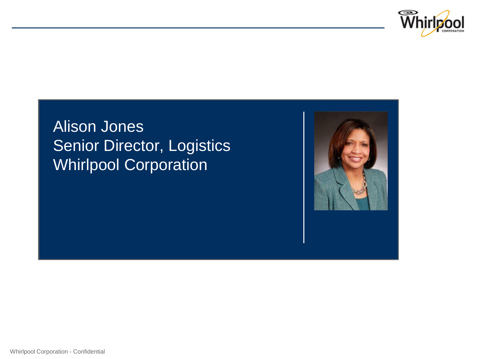

### Alison Jones Senior Director, Logistics Whirlpool Corporation

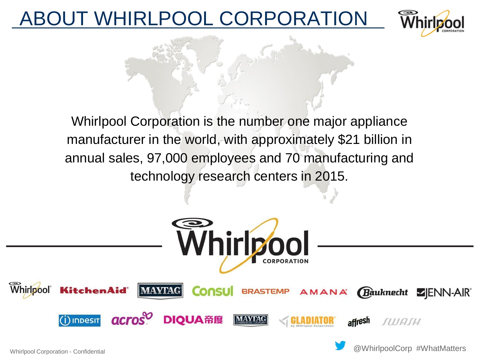### WHIRLPOOL CORPORATION



Whirlpool Corporation is the number one major appliance manufacturer in the world, with approximately \$21 billion in annual sales, 97,000 employees and 70 manufacturing and technology research centers in 2015.

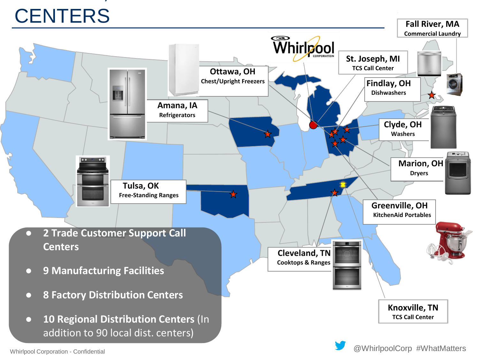# U.S. MEGANICAL DE L'ANG MEGANICAL DE L'ANG MEGANICAL DE L'ANG MEGANICAL DE L'ANG MEGANICAL DE L'ANG MEGANICAL D **CENTERS**

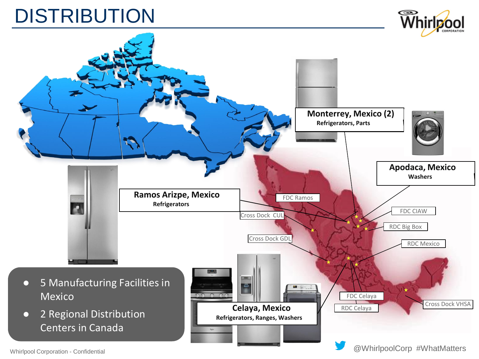## **DISTRIBUTION**



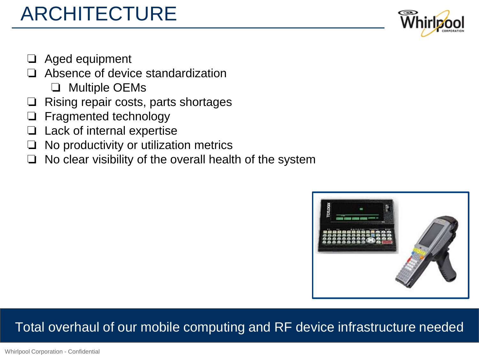# ARCHITECTURE



- ❏ Aged equipment
- ❏ Absence of device standardization
	- ❏ Multiple OEMs
- ❏ Rising repair costs, parts shortages
- ❏ Fragmented technology
- Lack of internal expertise
- ❏ No productivity or utilization metrics
- ❏ No clear visibility of the overall health of the system



#### Total overhaul of our mobile computing and RF device infrastructure needed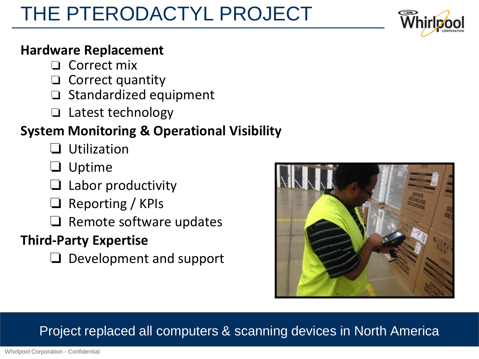# THE PTERODACTYL PROJECT

#### **Hardware Replacement**

- ❏ Correct mix
- ❏ Correct quantity
- ❏ Standardized equipment
- ❏ Latest technology

### **System Monitoring & Operational Visibility**

- ❏ Utilization
- ❏ Uptime
- Labor productivity
- ❏ Reporting / KPIs
- ❏ Remote software updates

### **Third-Party Expertise**

❏ Development and support



#### Project replaced all computers & scanning devices in North America

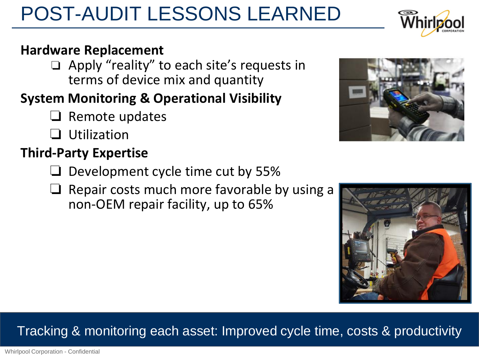Whirlpool Corporation - Confidential

### POST-AUDIT LESSONS LEARNED

#### **Hardware Replacement**

❏ Apply "reality" to each site's requests in terms of device mix and quantity

### **System Monitoring & Operational Visibility**

- ❏ Remote updates
- ❏ Utilization

### **Third-Party Expertise**

- ❏ Development cycle time cut by 55%
- ❏ Repair costs much more favorable by using a non-OEM repair facility, up to 65%

### Tracking & monitoring each asset: Improved cycle time, costs & productivity





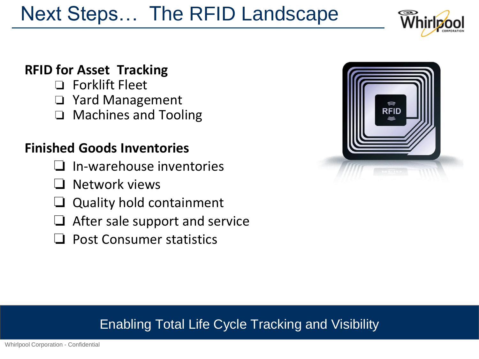# Next Steps… The RFID Landscape

#### **RFID for Asset Tracking**

- ❏ Forklift Fleet
- ❏ Yard Management
- ❏ Machines and Tooling

#### **Finished Goods Inventories**

- ❏ In-warehouse inventories
- ❏ Network views
- ❏ Quality hold containment
- ❏ After sale support and service
- ❏ Post Consumer statistics



#### Enabling Total Life Cycle Tracking and Visibility